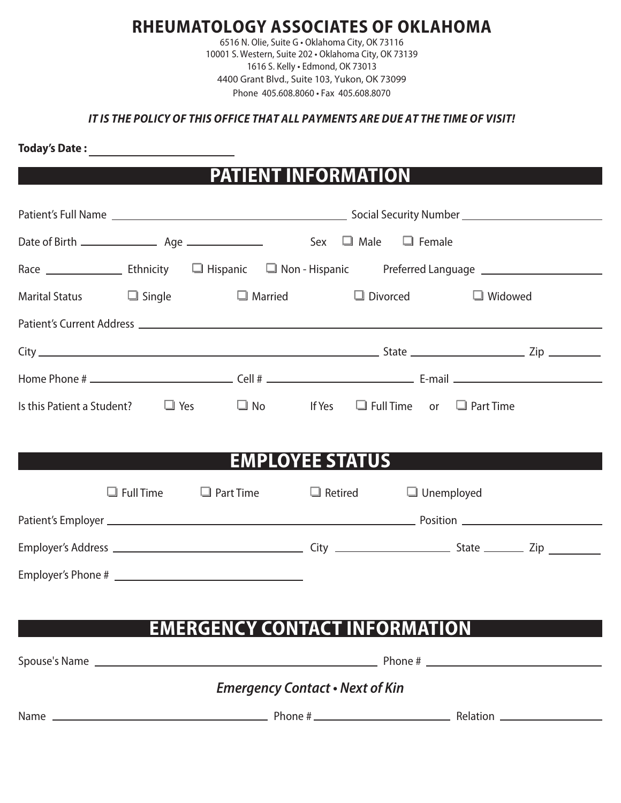### **RHEUMATOLOGY ASSOCIATES OF OKLAHOMA**

6516 N. Olie, Suite G • Oklahoma City, OK 73116 10001 S. Western, Suite 202 • Oklahoma City, OK 73139 1616 S. Kelly • Edmond, OK 73013 4400 Grant Blvd., Suite 103, Yukon, OK 73099 Phone 405.608.8060 • Fax 405.608.8070

#### *IT IS THE POLICY OF THIS OFFICE THAT ALL PAYMENTS ARE DUE AT THE TIME OF VISIT!*

**Today's Date :** 

## **PATIENT INFORMATION**

| Marital Status □ Single □ Married □ Divorced                                                |                                        | $\Box$ Widowed |
|---------------------------------------------------------------------------------------------|----------------------------------------|----------------|
|                                                                                             |                                        |                |
|                                                                                             |                                        |                |
|                                                                                             |                                        |                |
| Is this Patient a Student? $\Box$ Yes $\Box$ No If Yes $\Box$ Full Time or $\Box$ Part Time |                                        |                |
|                                                                                             |                                        |                |
|                                                                                             | <b>EMPLOYEE STATUS</b>                 |                |
| $\Box$ Full Time $\Box$ Part Time                                                           | $\Box$ Retired $\Box$ Unemployed       |                |
|                                                                                             |                                        |                |
|                                                                                             |                                        |                |
|                                                                                             |                                        |                |
|                                                                                             |                                        |                |
| <b>EMERGENCY CONTACT INFORMATION</b>                                                        |                                        |                |
|                                                                                             |                                        |                |
|                                                                                             | <b>Emergency Contact • Next of Kin</b> |                |
|                                                                                             |                                        |                |
|                                                                                             |                                        |                |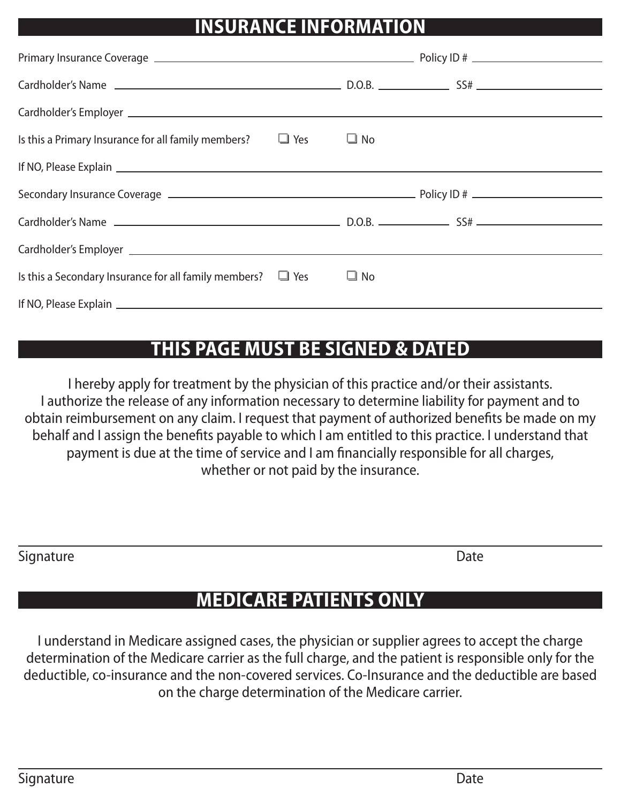# **INSURANCE INFORMATION**

| Is this a Primary Insurance for all family members?                                                                                                                                                                                 | $\Box$ Yes | $\Box$ No |  |
|-------------------------------------------------------------------------------------------------------------------------------------------------------------------------------------------------------------------------------------|------------|-----------|--|
|                                                                                                                                                                                                                                     |            |           |  |
|                                                                                                                                                                                                                                     |            |           |  |
|                                                                                                                                                                                                                                     |            |           |  |
|                                                                                                                                                                                                                                     |            |           |  |
| Cardholder's Employer <u>experience</u> and the contract of the contract of the contract of the contract of the contract of the contract of the contract of the contract of the contract of the contract of the contract of the con |            |           |  |
| Is this a Secondary Insurance for all family members? $\Box$ Yes                                                                                                                                                                    |            | $\Box$ No |  |
|                                                                                                                                                                                                                                     |            |           |  |

## **THIS PAGE MUST BE SIGNED & DATED**

I hereby apply for treatment by the physician of this practice and/or their assistants. I authorize the release of any information necessary to determine liability for payment and to obtain reimbursement on any claim. I request that payment of authorized benefits be made on my behalf and I assign the benefits payable to which I am entitled to this practice. I understand that payment is due at the time of service and I am financially responsible for all charges, whether or not paid by the insurance.

Signature Date **Date** 

## **MEDICARE PATIENTS ONLY**

I understand in Medicare assigned cases, the physician or supplier agrees to accept the charge determination of the Medicare carrier as the full charge, and the patient is responsible only for the deductible, co-insurance and the non-covered services. Co-Insurance and the deductible are based on the charge determination of the Medicare carrier.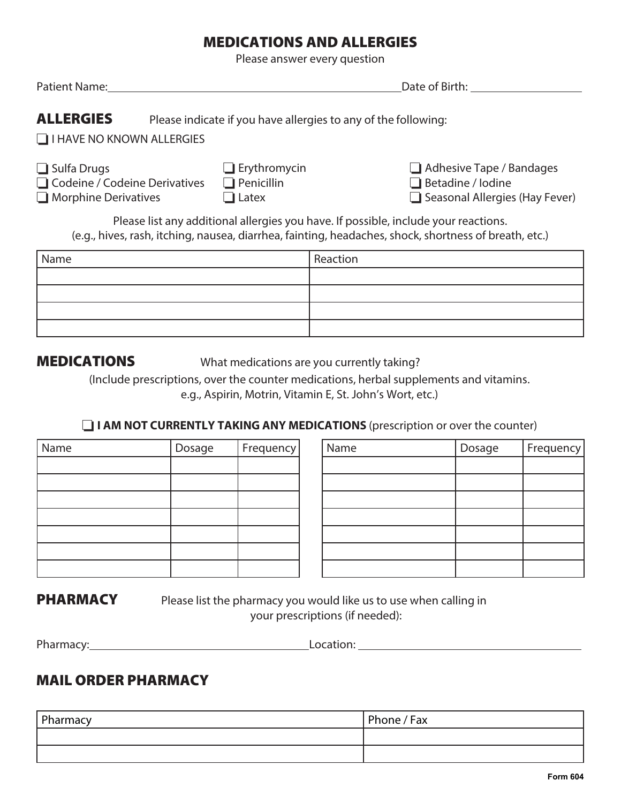### MEDICATIONS AND ALLERGIES

Please answer every question

| Date of Birth:<br>Patient Name:                                                      |                                                          |                                                                                                                                                                                              |
|--------------------------------------------------------------------------------------|----------------------------------------------------------|----------------------------------------------------------------------------------------------------------------------------------------------------------------------------------------------|
| <b>ALLERGIES</b><br>$\Box$ I HAVE NO KNOWN ALLERGIES                                 |                                                          | Please indicate if you have allergies to any of the following:                                                                                                                               |
| $\Box$ Sulfa Drugs<br>□ Codeine / Codeine Derivatives<br>$\Box$ Morphine Derivatives | $\Box$ Erythromycin<br>$\Box$ Penicillin<br>$\Box$ Latex | $\Box$ Adhesive Tape / Bandages<br>$\Box$ Betadine / lodine<br>$\Box$ Seasonal Allergies (Hay Fever)                                                                                         |
|                                                                                      |                                                          | Please list any additional allergies you have. If possible, include your reactions.<br>(e.g., hives, rash, itching, nausea, diarrhea, fainting, headaches, shock, shortness of breath, etc.) |
| Name                                                                                 |                                                          | Reaction                                                                                                                                                                                     |
|                                                                                      |                                                          |                                                                                                                                                                                              |

**MEDICATIONS** What medications are you currently taking?

(Include prescriptions, over the counter medications, herbal supplements and vitamins. e.g., Aspirin, Motrin, Vitamin E, St. John's Wort, etc.)

**I AM NOT CURRENTLY TAKING ANY MEDICATIONS** (prescription or over the counter)

| Name | Dosage | Frequency |
|------|--------|-----------|
|      |        |           |
|      |        |           |
|      |        |           |
|      |        |           |
|      |        |           |
|      |        |           |
|      |        |           |

| Name | Dosage | Frequency | Name | Dosage | Frequency |
|------|--------|-----------|------|--------|-----------|
|      |        |           |      |        |           |
|      |        |           |      |        |           |
|      |        |           |      |        |           |
|      |        |           |      |        |           |
|      |        |           |      |        |           |
|      |        |           |      |        |           |
|      |        |           |      |        |           |

**PHARMACY** Please list the pharmacy you would like us to use when calling in your prescriptions (if needed):

| Pharmacy: | ocation: |  |
|-----------|----------|--|
|           |          |  |

### MAIL ORDER PHARMACY

| Pharmacy | Phone / Fax |
|----------|-------------|
|          |             |
|          |             |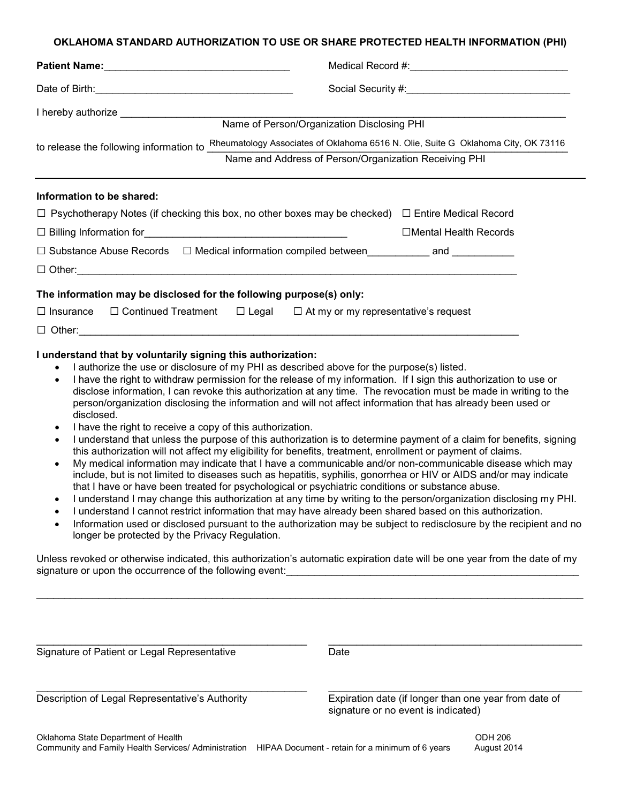#### **OKLAHOMA STANDARD AUTHORIZATION TO USE OR SHARE PROTECTED HEALTH INFORMATION (PHI)**

| to release the following information to                                                                                                                                                                                                                                                                                                | Name of Person/Organization Disclosing PHI<br>Rheumatology Associates of Oklahoma 6516 N. Olie, Suite G Oklahoma City, OK 73116<br>Name and Address of Person/Organization Receiving PHI |  |  |
|----------------------------------------------------------------------------------------------------------------------------------------------------------------------------------------------------------------------------------------------------------------------------------------------------------------------------------------|------------------------------------------------------------------------------------------------------------------------------------------------------------------------------------------|--|--|
| Information to be shared:<br>$\Box$ Psychotherapy Notes (if checking this box, no other boxes may be checked) $\Box$ Entire Medical Record<br>□ Substance Abuse Records □ Medical information compiled between____________ and ___________                                                                                             | □Mental Health Records                                                                                                                                                                   |  |  |
| The information may be disclosed for the following purpose(s) only:<br>$\Box$ Insurance $\Box$ Continued Treatment $\Box$ Legal $\Box$ At my or my representative's request<br>I understand that by voluntarily signing this authorization:<br>$\sim$ 1.00 there are disclosure of my DHI as described chove for the nurseco(e) listed |                                                                                                                                                                                          |  |  |

- I authorize the use or disclosure of my PHI as described above for the purpose(s) listed.
- I have the right to withdraw permission for the release of my information. If I sign this authorization to use or disclose information, I can revoke this authorization at any time. The revocation must be made in writing to the person/organization disclosing the information and will not affect information that has already been used or disclosed.
- I have the right to receive a copy of this authorization.
- I understand that unless the purpose of this authorization is to determine payment of a claim for benefits, signing this authorization will not affect my eligibility for benefits, treatment, enrollment or payment of claims.
- My medical information may indicate that I have a communicable and/or non-communicable disease which may include, but is not limited to diseases such as hepatitis, syphilis, gonorrhea or HIV or AIDS and/or may indicate that I have or have been treated for psychological or psychiatric conditions or substance abuse.
- I understand I may change this authorization at any time by writing to the person/organization disclosing my PHI.
- I understand I cannot restrict information that may have already been shared based on this authorization.
- Information used or disclosed pursuant to the authorization may be subject to redisclosure by the recipient and no longer be protected by the Privacy Regulation.

Unless revoked or otherwise indicated, this authorization's automatic expiration date will be one year from the date of my signature or upon the occurrence of the following event:

\_\_\_\_\_\_\_\_\_\_\_\_\_\_\_\_\_\_\_\_\_\_\_\_\_\_\_\_\_\_\_\_\_\_\_\_\_\_\_\_\_\_\_\_\_\_\_\_\_\_\_\_\_\_\_\_\_\_\_\_\_\_\_\_\_\_\_\_\_\_\_\_\_\_\_\_\_\_\_\_\_\_\_\_\_\_\_\_\_\_\_\_\_\_\_\_\_

\_\_\_\_\_\_\_\_\_\_\_\_\_\_\_\_\_\_\_\_\_\_\_\_\_\_\_\_\_\_\_\_\_\_\_\_\_\_\_\_\_\_\_\_\_\_\_\_ \_\_\_\_\_\_\_\_\_\_\_\_\_\_\_\_\_\_\_\_\_\_\_\_\_\_\_\_\_\_\_\_\_\_\_\_\_\_\_\_\_\_\_\_\_

Signature of Patient or Legal Representative Date

\_\_\_\_\_\_\_\_\_\_\_\_\_\_\_\_\_\_\_\_\_\_\_\_\_\_\_\_\_\_\_\_\_\_\_\_\_\_\_\_\_\_\_\_\_\_\_\_ \_\_\_\_\_\_\_\_\_\_\_\_\_\_\_\_\_\_\_\_\_\_\_\_\_\_\_\_\_\_\_\_\_\_\_\_\_\_\_\_\_\_\_\_\_ Description of Legal Representative's Authority Expiration date (if longer than one year from date of signature or no event is indicated)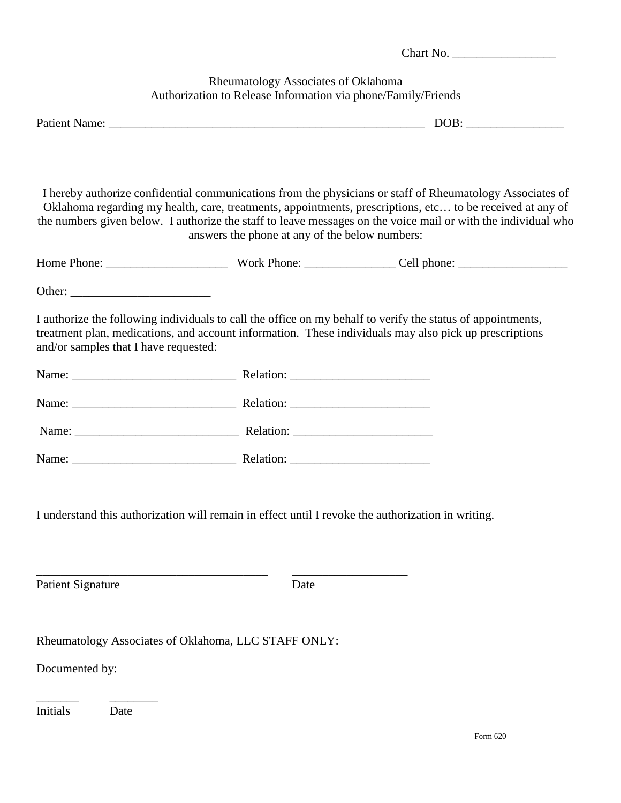|                                                                                                    | Chart No.                                                                                            |                                                                                                                                                                                                                                                                                                                                         |  |  |  |
|----------------------------------------------------------------------------------------------------|------------------------------------------------------------------------------------------------------|-----------------------------------------------------------------------------------------------------------------------------------------------------------------------------------------------------------------------------------------------------------------------------------------------------------------------------------------|--|--|--|
|                                                                                                    | Rheumatology Associates of Oklahoma<br>Authorization to Release Information via phone/Family/Friends |                                                                                                                                                                                                                                                                                                                                         |  |  |  |
|                                                                                                    |                                                                                                      |                                                                                                                                                                                                                                                                                                                                         |  |  |  |
|                                                                                                    | answers the phone at any of the below numbers:                                                       | I hereby authorize confidential communications from the physicians or staff of Rheumatology Associates of<br>Oklahoma regarding my health, care, treatments, appointments, prescriptions, etc to be received at any of<br>the numbers given below. I authorize the staff to leave messages on the voice mail or with the individual who |  |  |  |
|                                                                                                    |                                                                                                      |                                                                                                                                                                                                                                                                                                                                         |  |  |  |
|                                                                                                    |                                                                                                      |                                                                                                                                                                                                                                                                                                                                         |  |  |  |
| and/or samples that I have requested:                                                              |                                                                                                      | I authorize the following individuals to call the office on my behalf to verify the status of appointments,<br>treatment plan, medications, and account information. These individuals may also pick up prescriptions                                                                                                                   |  |  |  |
|                                                                                                    |                                                                                                      |                                                                                                                                                                                                                                                                                                                                         |  |  |  |
|                                                                                                    |                                                                                                      |                                                                                                                                                                                                                                                                                                                                         |  |  |  |
|                                                                                                    |                                                                                                      |                                                                                                                                                                                                                                                                                                                                         |  |  |  |
|                                                                                                    |                                                                                                      |                                                                                                                                                                                                                                                                                                                                         |  |  |  |
| I understand this authorization will remain in effect until I revoke the authorization in writing. |                                                                                                      |                                                                                                                                                                                                                                                                                                                                         |  |  |  |
| <b>Patient Signature</b>                                                                           | Date                                                                                                 |                                                                                                                                                                                                                                                                                                                                         |  |  |  |
| Rheumatology Associates of Oklahoma, LLC STAFF ONLY:<br>Documented by:<br>Initials<br>Date         |                                                                                                      |                                                                                                                                                                                                                                                                                                                                         |  |  |  |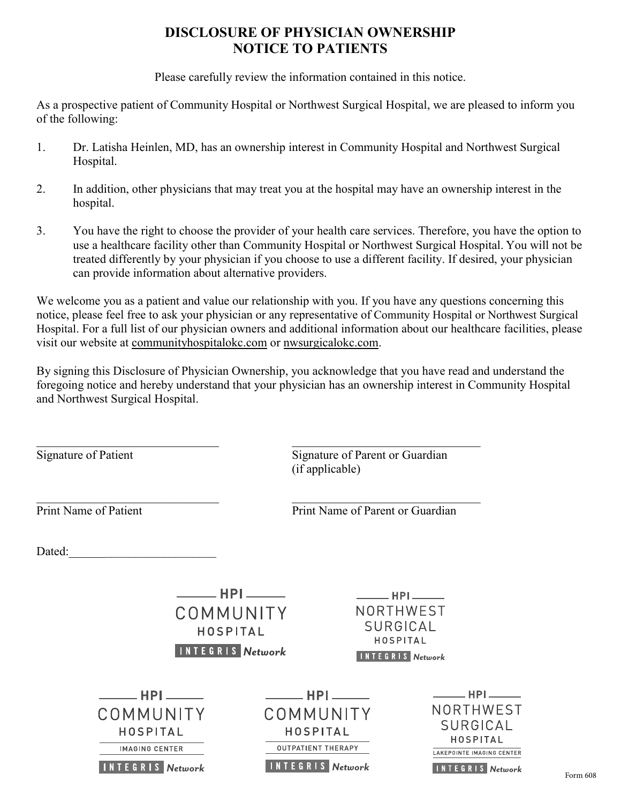### **DISCLOSURE OF PHYSICIAN OWNERSHIP NOTICE TO PATIENTS**

Please carefully review the information contained in this notice.

As a prospective patient of Community Hospital or Northwest Surgical Hospital, we are pleased to inform you of the following:

- 1. Dr. Latisha Heinlen, MD, has an ownership interest in Community Hospital and Northwest Surgical Hospital.
- 2. In addition, other physicians that may treat you at the hospital may have an ownership interest in the hospital.
- 3. You have the right to choose the provider of your health care services. Therefore, you have the option to use a healthcare facility other than Community Hospital or Northwest Surgical Hospital. You will not be treated differently by your physician if you choose to use a different facility. If desired, your physician can provide information about alternative providers.

We welcome you as a patient and value our relationship with you. If you have any questions concerning this notice, please feel free to ask your physician or any representative of Community Hospital or Northwest Surgical Hospital. For a full list of our physician owners and additional information about our healthcare facilities, please visit our website at communityhospitalokc.com or nwsurgicalokc.com.

By signing this Disclosure of Physician Ownership, you acknowledge that you have read and understand the foregoing notice and hereby understand that your physician has an ownership interest in Community Hospital and Northwest Surgical Hospital.

Signature of Patient Signature of Parent or Guardian (if applicable)

Print Name of Patient Print Name of Parent or Guardian

Dated:

| <b>HPI</b><br>COMMUNITY<br><b>HOSPITAL</b><br><b>INTEGRIS Network</b>                                                      |                                                                                                                                | NORTHWEST<br><b>SURGICAL</b><br>HOSPITAL<br><b>INTEGRIS Network</b> | ——— HPI <u>————</u>                                                                                                   |
|----------------------------------------------------------------------------------------------------------------------------|--------------------------------------------------------------------------------------------------------------------------------|---------------------------------------------------------------------|-----------------------------------------------------------------------------------------------------------------------|
| $\rule{1em}{0.15mm}$ HPI $\rule{1em}{0.15mm}$<br>COMMUNITY<br>HOSPITAL<br><b>IMAGING CENTER</b><br><b>INTEGRIS Network</b> | $\rule{1em}{0.15mm}$ HPI $\rule{1em}{0.15mm}$<br>COMMUNITY<br>HOSPITAL<br><b>OUTPATIENT THERAPY</b><br><b>INTEGRIS Network</b> |                                                                     | <b>HPI</b><br>NORTHWEST<br><b>SURGICAL</b><br>HOSPITAL<br><b>LAKEPOINTE IMAGING CENTER</b><br><b>INTEGRIS Network</b> |